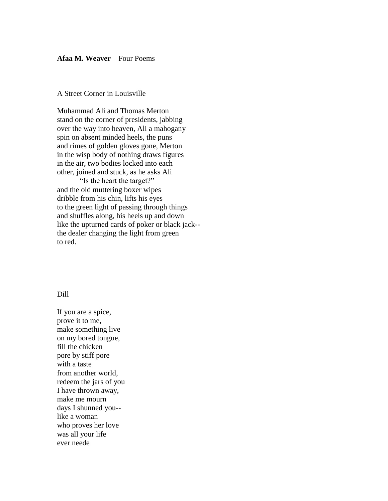## **Afaa M. Weaver** – Four Poems

## A Street Corner in Louisville

Muhammad Ali and Thomas Merton stand on the corner of presidents, jabbing over the way into heaven, Ali a mahogany spin on absent minded heels, the puns and rimes of golden gloves gone, Merton in the wisp body of nothing draws figures in the air, two bodies locked into each other, joined and stuck, as he asks Ali

"Is the heart the target?" and the old muttering boxer wipes dribble from his chin, lifts his eyes to the green light of passing through things and shuffles along, his heels up and down like the upturned cards of poker or black jack- the dealer changing the light from green to red.

## Dill

If you are a spice, prove it to me, make something live on my bored tongue, fill the chicken pore by stiff pore with a taste from another world, redeem the jars of you I have thrown away, make me mourn days I shunned you- like a woman who proves her love was all your life ever neede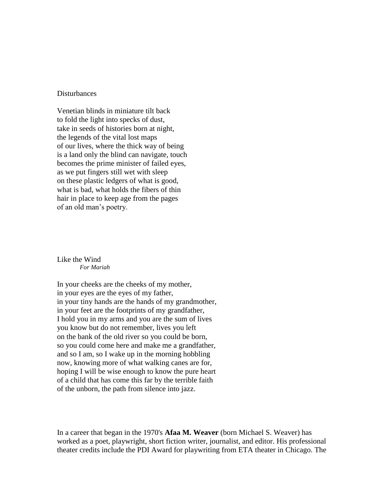## **Disturbances**

Venetian blinds in miniature tilt back to fold the light into specks of dust, take in seeds of histories born at night, the legends of the vital lost maps of our lives, where the thick way of being is a land only the blind can navigate, touch becomes the prime minister of failed eyes, as we put fingers still wet with sleep on these plastic ledgers of what is good, what is bad, what holds the fibers of thin hair in place to keep age from the pages of an old man's poetry.

Like the Wind *For Mariah*

In your cheeks are the cheeks of my mother, in your eyes are the eyes of my father, in your tiny hands are the hands of my grandmother, in your feet are the footprints of my grandfather, I hold you in my arms and you are the sum of lives you know but do not remember, lives you left on the bank of the old river so you could be born, so you could come here and make me a grandfather, and so I am, so I wake up in the morning hobbling now, knowing more of what walking canes are for, hoping I will be wise enough to know the pure heart of a child that has come this far by the terrible faith of the unborn, the path from silence into jazz.

[In a career that began in the 1970's](http://www.hbo.com/thewire/) **Afaa M. Weaver** (born Michael S. Weaver) has [worked as a poet, playwright, short fiction writer, journalist, and editor. His professional](http://www.hbo.com/thewire/)  [theater credits include the PDI Award for playwriting from ETA theater in Chicago. The](http://www.hbo.com/thewire/)